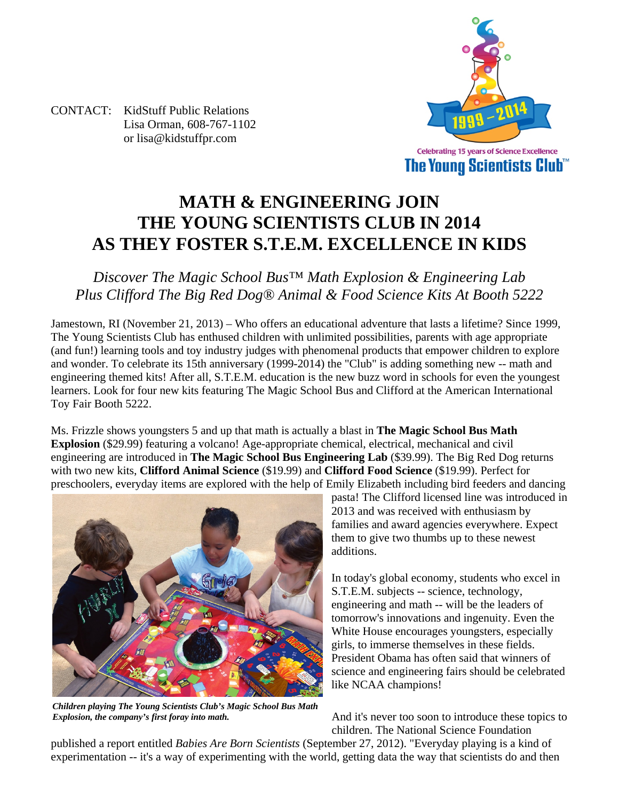

CONTACT: KidStuff Public Relations Lisa Orman, 608-767-1102 or lisa@kidstuffpr.com

# **MATH & ENGINEERING JOIN THE YOUNG SCIENTISTS CLUB IN 2014 AS THEY FOSTER S.T.E.M. EXCELLENCE IN KIDS**

*Discover The Magic School Bus™ Math Explosion & Engineering Lab Plus Clifford The Big Red Dog® Animal & Food Science Kits At Booth 5222* 

Jamestown, RI (November 21, 2013) – Who offers an educational adventure that lasts a lifetime? Since 1999, The Young Scientists Club has enthused children with unlimited possibilities, parents with age appropriate (and fun!) learning tools and toy industry judges with phenomenal products that empower children to explore and wonder. To celebrate its 15th anniversary (1999-2014) the "Club" is adding something new -- math and engineering themed kits! After all, S.T.E.M. education is the new buzz word in schools for even the youngest learners. Look for four new kits featuring The Magic School Bus and Clifford at the American International Toy Fair Booth 5222.

Ms. Frizzle shows youngsters 5 and up that math is actually a blast in **The Magic School Bus Math Explosion** (\$29.99) featuring a volcano! Age-appropriate chemical, electrical, mechanical and civil engineering are introduced in **The Magic School Bus Engineering Lab** (\$39.99). The Big Red Dog returns with two new kits, **Clifford Animal Science** (\$19.99) and **Clifford Food Science** (\$19.99). Perfect for preschoolers, everyday items are explored with the help of Emily Elizabeth including bird feeders and dancing



*Children playing The Young Scientists Club's Magic School Bus Math Explosion, the company's first foray into math.*

pasta! The Clifford licensed line was introduced in 2013 and was received with enthusiasm by families and award agencies everywhere. Expect them to give two thumbs up to these newest additions.

In today's global economy, students who excel in S.T.E.M. subjects -- science, technology, engineering and math -- will be the leaders of tomorrow's innovations and ingenuity. Even the White House encourages youngsters, especially girls, to immerse themselves in these fields. President Obama has often said that winners of science and engineering fairs should be celebrated like NCAA champions!

And it's never too soon to introduce these topics to children. The National Science Foundation

published a report entitled *Babies Are Born Scientists* (September 27, 2012). "Everyday playing is a kind of experimentation -- it's a way of experimenting with the world, getting data the way that scientists do and then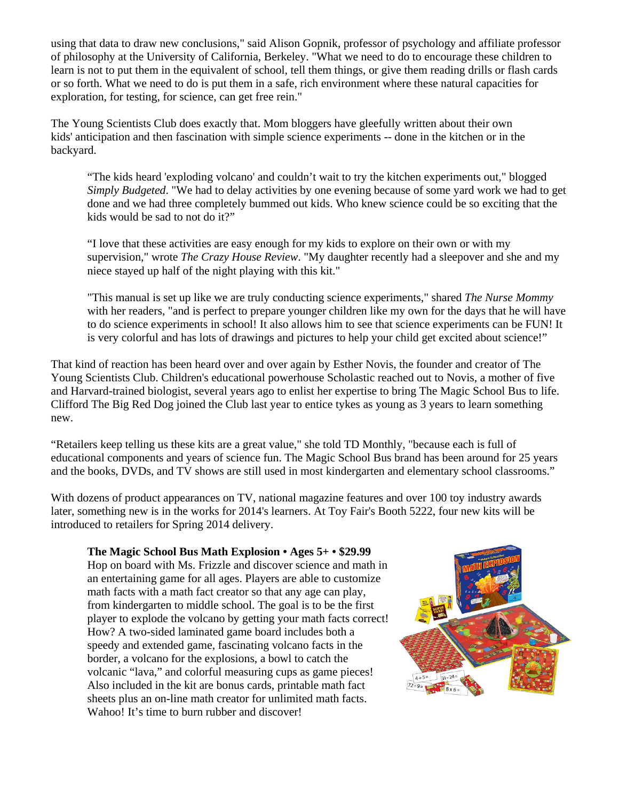using that data to draw new conclusions," said Alison Gopnik, professor of psychology and affiliate professor of philosophy at the University of California, Berkeley. "What we need to do to encourage these children to learn is not to put them in the equivalent of school, tell them things, or give them reading drills or flash cards or so forth. What we need to do is put them in a safe, rich environment where these natural capacities for exploration, for testing, for science, can get free rein."

The Young Scientists Club does exactly that. Mom bloggers have gleefully written about their own kids' anticipation and then fascination with simple science experiments -- done in the kitchen or in the backyard.

"The kids heard 'exploding volcano' and couldn't wait to try the kitchen experiments out," blogged *Simply Budgeted*. "We had to delay activities by one evening because of some yard work we had to get done and we had three completely bummed out kids. Who knew science could be so exciting that the kids would be sad to not do it?"

"I love that these activities are easy enough for my kids to explore on their own or with my supervision," wrote *The Crazy House Review*. "My daughter recently had a sleepover and she and my niece stayed up half of the night playing with this kit."

"This manual is set up like we are truly conducting science experiments," shared *The Nurse Mommy* with her readers, "and is perfect to prepare younger children like my own for the days that he will have to do science experiments in school! It also allows him to see that science experiments can be FUN! It is very colorful and has lots of drawings and pictures to help your child get excited about science!"

That kind of reaction has been heard over and over again by Esther Novis, the founder and creator of The Young Scientists Club. Children's educational powerhouse Scholastic reached out to Novis, a mother of five and Harvard-trained biologist, several years ago to enlist her expertise to bring The Magic School Bus to life. Clifford The Big Red Dog joined the Club last year to entice tykes as young as 3 years to learn something new.

"Retailers keep telling us these kits are a great value," she told TD Monthly, "because each is full of educational components and years of science fun. The Magic School Bus brand has been around for 25 years and the books, DVDs, and TV shows are still used in most kindergarten and elementary school classrooms."

With dozens of product appearances on TV, national magazine features and over 100 toy industry awards later, something new is in the works for 2014's learners. At Toy Fair's Booth 5222, four new kits will be introduced to retailers for Spring 2014 delivery.

#### **The Magic School Bus Math Explosion • Ages 5+ • \$29.99**

Hop on board with Ms. Frizzle and discover science and math in an entertaining game for all ages. Players are able to customize math facts with a math fact creator so that any age can play, from kindergarten to middle school. The goal is to be the first player to explode the volcano by getting your math facts correct! How? A two-sided laminated game board includes both a speedy and extended game, fascinating volcano facts in the border, a volcano for the explosions, a bowl to catch the volcanic "lava," and colorful measuring cups as game pieces! Also included in the kit are bonus cards, printable math fact sheets plus an on-line math creator for unlimited math facts. Wahoo! It's time to burn rubber and discover!

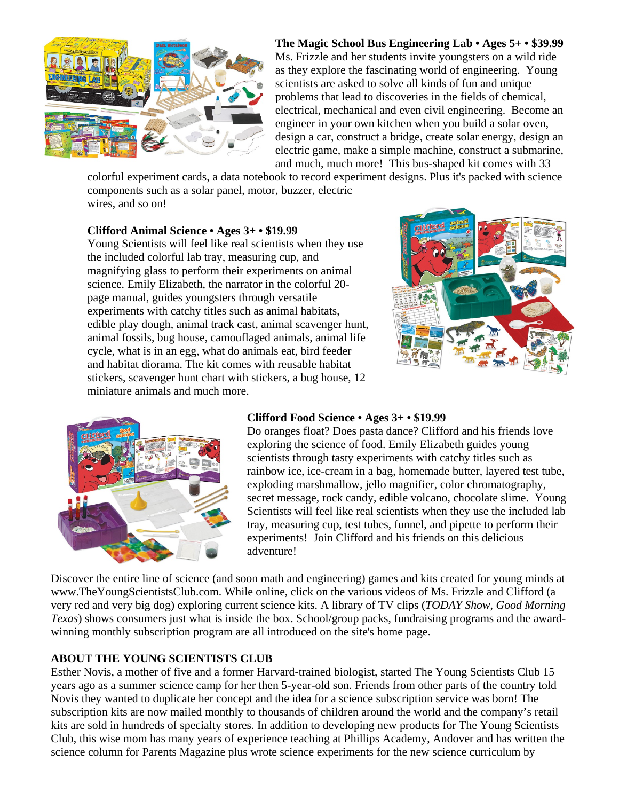

## **The Magic School Bus Engineering Lab • Ages 5+ • \$39.99**

Ms. Frizzle and her students invite youngsters on a wild ride as they explore the fascinating world of engineering. Young scientists are asked to solve all kinds of fun and unique problems that lead to discoveries in the fields of chemical, electrical, mechanical and even civil engineering. Become an engineer in your own kitchen when you build a solar oven, design a car, construct a bridge, create solar energy, design an electric game, make a simple machine, construct a submarine, and much, much more! This bus-shaped kit comes with 33

colorful experiment cards, a data notebook to record experiment designs. Plus it's packed with science components such as a solar panel, motor, buzzer, electric wires, and so on!

#### **Clifford Animal Science • Ages 3+ • \$19.99**

Young Scientists will feel like real scientists when they use the included colorful lab tray, measuring cup, and magnifying glass to perform their experiments on animal science. Emily Elizabeth, the narrator in the colorful 20 page manual, guides youngsters through versatile experiments with catchy titles such as animal habitats, edible play dough, animal track cast, animal scavenger hunt, animal fossils, bug house, camouflaged animals, animal life cycle, what is in an egg, what do animals eat, bird feeder and habitat diorama. The kit comes with reusable habitat stickers, scavenger hunt chart with stickers, a bug house, 12 miniature animals and much more.





#### **Clifford Food Science • Ages 3+ • \$19.99**

Do oranges float? Does pasta dance? Clifford and his friends love exploring the science of food. Emily Elizabeth guides young scientists through tasty experiments with catchy titles such as rainbow ice, ice-cream in a bag, homemade butter, layered test tube, exploding marshmallow, jello magnifier, color chromatography, secret message, rock candy, edible volcano, chocolate slime. Young Scientists will feel like real scientists when they use the included lab tray, measuring cup, test tubes, funnel, and pipette to perform their experiments! Join Clifford and his friends on this delicious adventure!

Discover the entire line of science (and soon math and engineering) games and kits created for young minds at www.TheYoungScientistsClub.com. While online, click on the various videos of Ms. Frizzle and Clifford (a very red and very big dog) exploring current science kits. A library of TV clips (*TODAY Show*, *Good Morning Texas*) shows consumers just what is inside the box. School/group packs, fundraising programs and the awardwinning monthly subscription program are all introduced on the site's home page.

#### **ABOUT THE YOUNG SCIENTISTS CLUB**

Esther Novis, a mother of five and a former Harvard-trained biologist, started The Young Scientists Club 15 years ago as a summer science camp for her then 5-year-old son. Friends from other parts of the country told Novis they wanted to duplicate her concept and the idea for a science subscription service was born! The subscription kits are now mailed monthly to thousands of children around the world and the company's retail kits are sold in hundreds of specialty stores. In addition to developing new products for The Young Scientists Club, this wise mom has many years of experience teaching at Phillips Academy, Andover and has written the science column for Parents Magazine plus wrote science experiments for the new science curriculum by